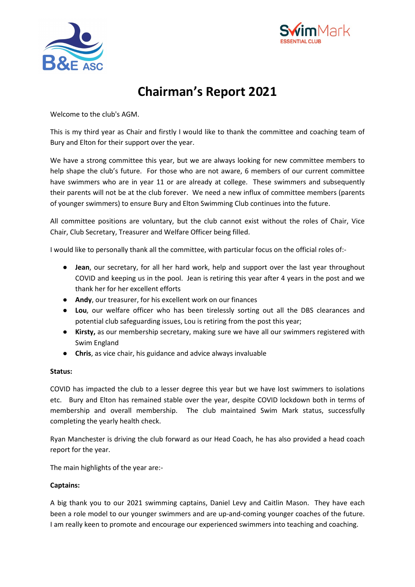



# **Chairman's Report 2021**

Welcome to the club's AGM.

This is my third year as Chair and firstly I would like to thank the committee and coaching team of Bury and Elton for their support over the year.

We have a strong committee this year, but we are always looking for new committee members to help shape the club's future. For those who are not aware, 6 members of our current committee have swimmers who are in year 11 or are already at college. These swimmers and subsequently their parents will not be at the club forever. We need a new influx of committee members (parents of younger swimmers) to ensure Bury and Elton Swimming Club continues into the future.

All committee positions are voluntary, but the club cannot exist without the roles of Chair, Vice Chair, Club Secretary, Treasurer and Welfare Officer being filled.

I would like to personally thank all the committee, with particular focus on the official roles of:-

- **Jean**, our secretary, for all her hard work, help and support over the last year throughout COVID and keeping us in the pool. Jean is retiring this year after 4 years in the post and we thank her for her excellent efforts
- **Andy**, our treasurer, for his excellent work on our finances
- **Lou**, our welfare officer who has been tirelessly sorting out all the DBS clearances and potential club safeguarding issues, Lou is retiring from the post this year;
- **Kirsty,** as our membership secretary, making sure we have all our swimmers registered with Swim England
- **Chris**, as vice chair, his guidance and advice always invaluable

# **Status:**

COVID has impacted the club to a lesser degree this year but we have lost swimmers to isolations etc. Bury and Elton has remained stable over the year, despite COVID lockdown both in terms of membership and overall membership. The club maintained Swim Mark status, successfully completing the yearly health check.

Ryan Manchester is driving the club forward as our Head Coach, he has also provided a head coach report for the year.

The main highlights of the year are:-

# **Captains:**

A big thank you to our 2021 swimming captains, Daniel Levy and Caitlin Mason. They have each been a role model to our younger swimmers and are up-and-coming younger coaches of the future. I am really keen to promote and encourage our experienced swimmers into teaching and coaching.